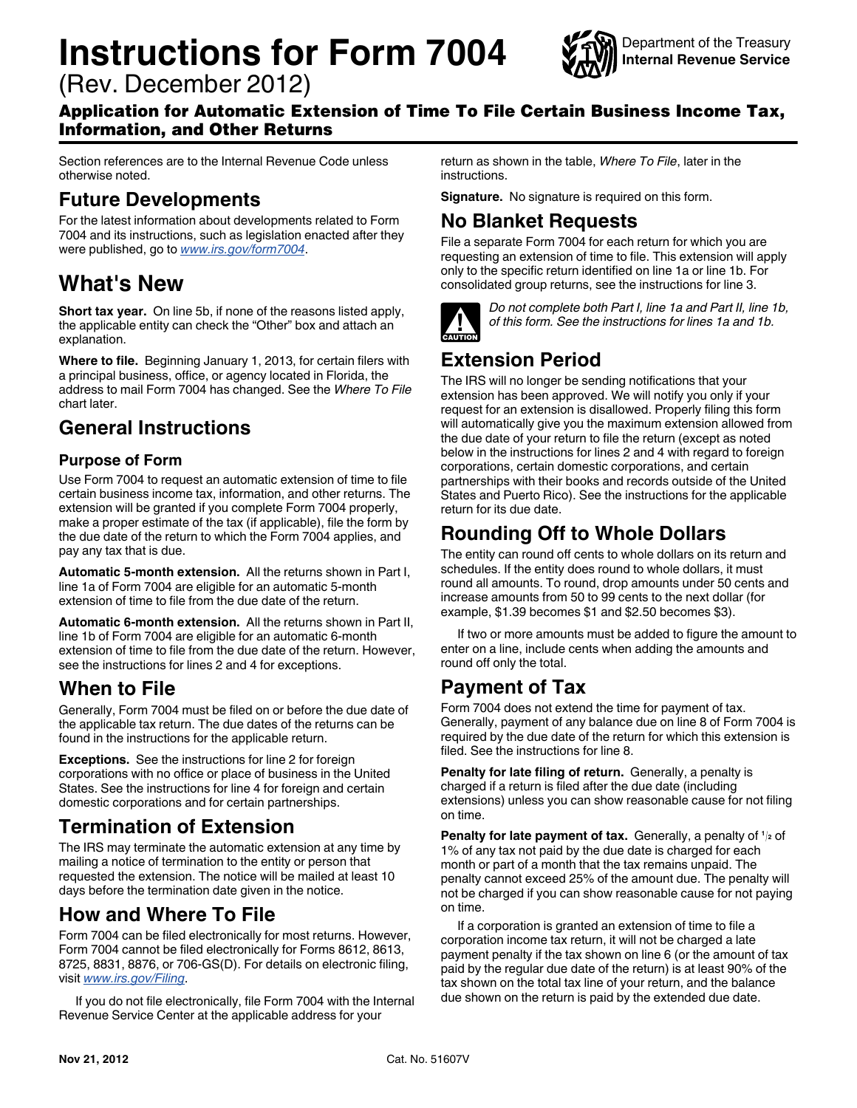# **Instructions for Form 7004**

(Rev. December 2012)



#### Application for Automatic Extension of Time To File Certain Business Income Tax, Information, and Other Returns

Section references are to the Internal Revenue Code unless otherwise noted.

### **Future Developments**

For the latest information about developments related to Form 7004 and its instructions, such as legislation enacted after they were published, go to *[www.irs.gov/form7004](http://www.irs.gov/uac/Form-7004,-Application-for-Automatic-Extension-of-Time-To-File-Certain-Business-Income-Tax,-Information,-and-Other-Returns)*.

# **What's New**

**Short tax year.** On line 5b, if none of the reasons listed apply, the applicable entity can check the "Other" box and attach an explanation.

**Where to file.** Beginning January 1, 2013, for certain filers with a principal business, office, or agency located in Florida, the address to mail Form 7004 has changed. See the *Where To File*  chart later.

# **General Instructions**

#### **Purpose of Form**

Use Form 7004 to request an automatic extension of time to file certain business income tax, information, and other returns. The extension will be granted if you complete Form 7004 properly, make a proper estimate of the tax (if applicable), file the form by the due date of the return to which the Form 7004 applies, and pay any tax that is due.

**Automatic 5-month extension.** All the returns shown in Part I, line 1a of Form 7004 are eligible for an automatic 5-month extension of time to file from the due date of the return.

**Automatic 6-month extension.** All the returns shown in Part II, line 1b of Form 7004 are eligible for an automatic 6-month extension of time to file from the due date of the return. However, see the instructions for lines 2 and 4 for exceptions.

# **When to File**

Generally, Form 7004 must be filed on or before the due date of the applicable tax return. The due dates of the returns can be found in the instructions for the applicable return.

**Exceptions.** See the instructions for line 2 for foreign corporations with no office or place of business in the United States. See the instructions for line 4 for foreign and certain domestic corporations and for certain partnerships.

# **Termination of Extension**

The IRS may terminate the automatic extension at any time by mailing a notice of termination to the entity or person that requested the extension. The notice will be mailed at least 10 days before the termination date given in the notice.

# **How and Where To File**

Form 7004 can be filed electronically for most returns. However, Form 7004 cannot be filed electronically for Forms 8612, 8613, 8725, 8831, 8876, or 706-GS(D). For details on electronic filing, visit *[www.irs.gov/Filing](http://www.irs.gov/Filing)*.

If you do not file electronically, file Form 7004 with the Internal Revenue Service Center at the applicable address for your

return as shown in the table, *Where To File*, later in the instructions.

**Signature.** No signature is required on this form.

### **No Blanket Requests**

File a separate Form 7004 for each return for which you are requesting an extension of time to file. This extension will apply only to the specific return identified on line 1a or line 1b. For consolidated group returns, see the instructions for line 3.



*Do not complete both Part I, line 1a and Part II, line 1b, of this form. See the instructions for lines 1a and 1b.*

# **Extension Period**

The IRS will no longer be sending notifications that your extension has been approved. We will notify you only if your request for an extension is disallowed. Properly filing this form will automatically give you the maximum extension allowed from the due date of your return to file the return (except as noted below in the instructions for lines 2 and 4 with regard to foreign corporations, certain domestic corporations, and certain partnerships with their books and records outside of the United States and Puerto Rico). See the instructions for the applicable return for its due date.

# **Rounding Off to Whole Dollars**

The entity can round off cents to whole dollars on its return and schedules. If the entity does round to whole dollars, it must round all amounts. To round, drop amounts under 50 cents and increase amounts from 50 to 99 cents to the next dollar (for example, \$1.39 becomes \$1 and \$2.50 becomes \$3).

If two or more amounts must be added to figure the amount to enter on a line, include cents when adding the amounts and round off only the total.

# **Payment of Tax**

Form 7004 does not extend the time for payment of tax. Generally, payment of any balance due on line 8 of Form 7004 is required by the due date of the return for which this extension is filed. See the instructions for line 8.

**Penalty for late filing of return.** Generally, a penalty is charged if a return is filed after the due date (including extensions) unless you can show reasonable cause for not filing on time.

**Penalty for late payment of tax.** Generally, a penalty of **<sup>1</sup> <sup>2</sup>** of 1% of any tax not paid by the due date is charged for each month or part of a month that the tax remains unpaid. The penalty cannot exceed 25% of the amount due. The penalty will not be charged if you can show reasonable cause for not paying on time.

If a corporation is granted an extension of time to file a corporation income tax return, it will not be charged a late payment penalty if the tax shown on line 6 (or the amount of tax paid by the regular due date of the return) is at least 90% of the tax shown on the total tax line of your return, and the balance due shown on the return is paid by the extended due date.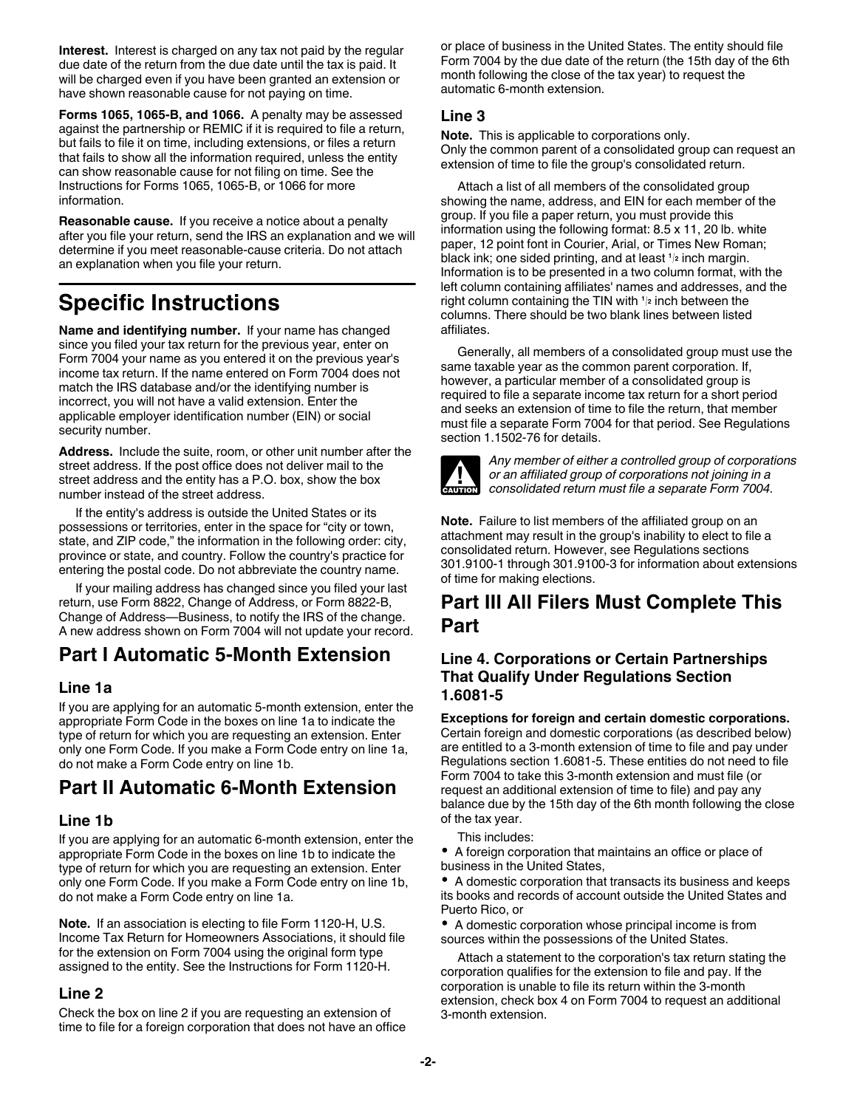**Interest.** Interest is charged on any tax not paid by the regular due date of the return from the due date until the tax is paid. It will be charged even if you have been granted an extension or have shown reasonable cause for not paying on time.

**Forms 1065, 1065-B, and 1066.** A penalty may be assessed against the partnership or REMIC if it is required to file a return, but fails to file it on time, including extensions, or files a return that fails to show all the information required, unless the entity can show reasonable cause for not filing on time. See the Instructions for Forms 1065, 1065-B, or 1066 for more information.

**Reasonable cause.** If you receive a notice about a penalty after you file your return, send the IRS an explanation and we will determine if you meet reasonable-cause criteria. Do not attach an explanation when you file your return.

# **Specific Instructions**

**Name and identifying number.** If your name has changed since you filed your tax return for the previous year, enter on Form 7004 your name as you entered it on the previous year's income tax return. If the name entered on Form 7004 does not match the IRS database and/or the identifying number is incorrect, you will not have a valid extension. Enter the applicable employer identification number (EIN) or social security number.

**Address.** Include the suite, room, or other unit number after the street address. If the post office does not deliver mail to the street address and the entity has a P.O. box, show the box number instead of the street address.

If the entity's address is outside the United States or its possessions or territories, enter in the space for "city or town, state, and ZIP code," the information in the following order: city, province or state, and country. Follow the country's practice for entering the postal code. Do not abbreviate the country name.

If your mailing address has changed since you filed your last return, use Form 8822, Change of Address, or Form 8822-B, Change of Address—Business, to notify the IRS of the change. A new address shown on Form 7004 will not update your record.

# **Part I Automatic 5-Month Extension**

#### **Line 1a**

If you are applying for an automatic 5-month extension, enter the appropriate Form Code in the boxes on line 1a to indicate the type of return for which you are requesting an extension. Enter only one Form Code. If you make a Form Code entry on line 1a, do not make a Form Code entry on line 1b.

# **Part II Automatic 6-Month Extension**

#### **Line 1b**

If you are applying for an automatic 6-month extension, enter the appropriate Form Code in the boxes on line 1b to indicate the type of return for which you are requesting an extension. Enter only one Form Code. If you make a Form Code entry on line 1b, do not make a Form Code entry on line 1a.

**Note.** If an association is electing to file Form 1120-H, U.S. Income Tax Return for Homeowners Associations, it should file for the extension on Form 7004 using the original form type assigned to the entity. See the Instructions for Form 1120-H.

#### **Line 2**

Check the box on line 2 if you are requesting an extension of time to file for a foreign corporation that does not have an office or place of business in the United States. The entity should file Form 7004 by the due date of the return (the 15th day of the 6th month following the close of the tax year) to request the automatic 6-month extension.

#### **Line 3**

**Note.** This is applicable to corporations only. Only the common parent of a consolidated group can request an extension of time to file the group's consolidated return.

Attach a list of all members of the consolidated group showing the name, address, and EIN for each member of the group. If you file a paper return, you must provide this information using the following format: 8.5 x 11, 20 lb. white paper, 12 point font in Courier, Arial, or Times New Roman; black ink; one sided printing, and at least **<sup>1</sup> <sup>2</sup>** inch margin. Information is to be presented in a two column format, with the left column containing affiliates' names and addresses, and the right column containing the TIN with **<sup>1</sup> <sup>2</sup>** inch between the columns. There should be two blank lines between listed affiliates.

Generally, all members of a consolidated group must use the same taxable year as the common parent corporation. If, however, a particular member of a consolidated group is required to file a separate income tax return for a short period and seeks an extension of time to file the return, that member must file a separate Form 7004 for that period. See Regulations section 1.1502-76 for details.



*Any member of either a controlled group of corporations or an affiliated group of corporations not joining in a consolidated return must file a separate Form 7004.*

**Note.** Failure to list members of the affiliated group on an attachment may result in the group's inability to elect to file a consolidated return. However, see Regulations sections 301.9100-1 through 301.9100-3 for information about extensions of time for making elections.

# **Part III All Filers Must Complete This Part**

#### **Line 4. Corporations or Certain Partnerships That Qualify Under Regulations Section 1.6081-5**

**Exceptions for foreign and certain domestic corporations.**  Certain foreign and domestic corporations (as described below) are entitled to a 3-month extension of time to file and pay under Regulations section 1.6081-5. These entities do not need to file Form 7004 to take this 3-month extension and must file (or request an additional extension of time to file) and pay any balance due by the 15th day of the 6th month following the close of the tax year.

#### This includes:

A foreign corporation that maintains an office or place of business in the United States,

A domestic corporation that transacts its business and keeps its books and records of account outside the United States and Puerto Rico, or

A domestic corporation whose principal income is from sources within the possessions of the United States.

Attach a statement to the corporation's tax return stating the corporation qualifies for the extension to file and pay. If the corporation is unable to file its return within the 3-month extension, check box 4 on Form 7004 to request an additional 3-month extension.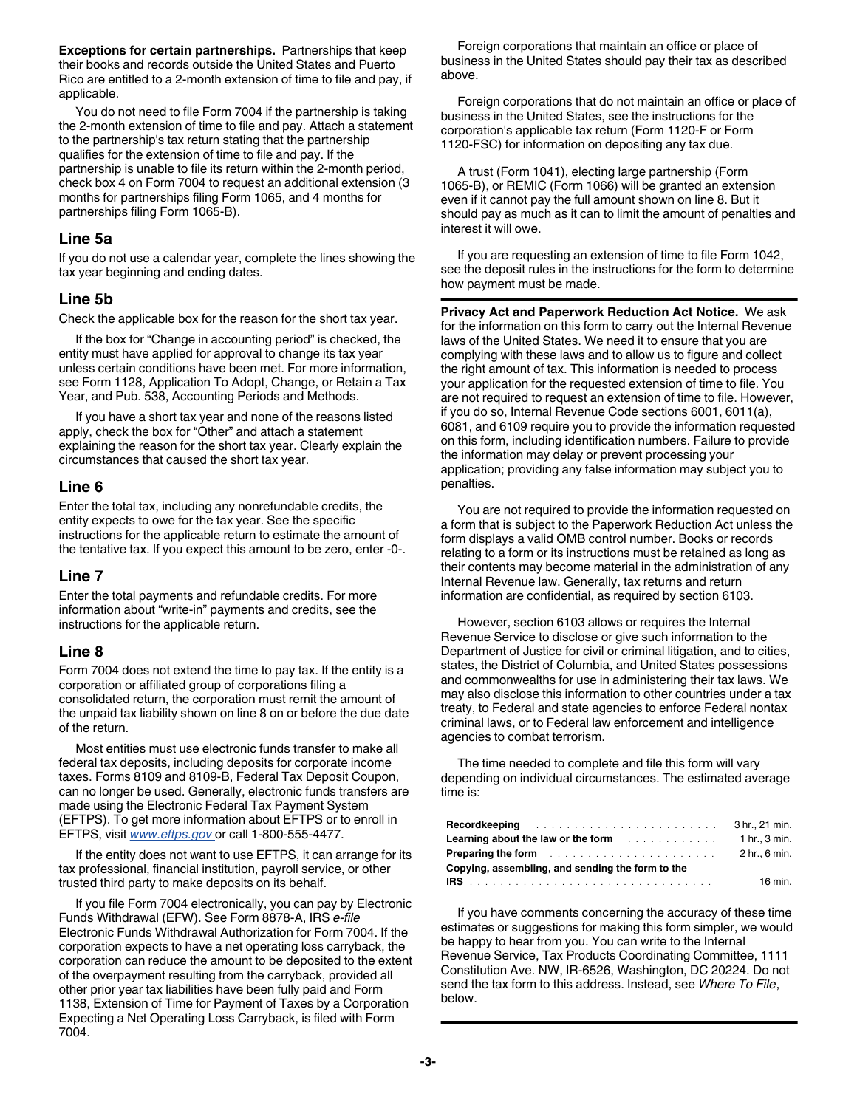**Exceptions for certain partnerships.** Partnerships that keep their books and records outside the United States and Puerto Rico are entitled to a 2-month extension of time to file and pay, if applicable.

You do not need to file Form 7004 if the partnership is taking the 2-month extension of time to file and pay. Attach a statement to the partnership's tax return stating that the partnership qualifies for the extension of time to file and pay. If the partnership is unable to file its return within the 2-month period, check box 4 on Form 7004 to request an additional extension (3 months for partnerships filing Form 1065, and 4 months for partnerships filing Form 1065-B).

#### **Line 5a**

If you do not use a calendar year, complete the lines showing the tax year beginning and ending dates.

#### **Line 5b**

Check the applicable box for the reason for the short tax year.

If the box for "Change in accounting period" is checked, the entity must have applied for approval to change its tax year unless certain conditions have been met. For more information, see Form 1128, Application To Adopt, Change, or Retain a Tax Year, and Pub. 538, Accounting Periods and Methods.

If you have a short tax year and none of the reasons listed apply, check the box for "Other" and attach a statement explaining the reason for the short tax year. Clearly explain the circumstances that caused the short tax year.

#### **Line 6**

Enter the total tax, including any nonrefundable credits, the entity expects to owe for the tax year. See the specific instructions for the applicable return to estimate the amount of the tentative tax. If you expect this amount to be zero, enter -0-.

#### **Line 7**

Enter the total payments and refundable credits. For more information about "write-in" payments and credits, see the instructions for the applicable return.

#### **Line 8**

Form 7004 does not extend the time to pay tax. If the entity is a corporation or affiliated group of corporations filing a consolidated return, the corporation must remit the amount of the unpaid tax liability shown on line 8 on or before the due date of the return.

Most entities must use electronic funds transfer to make all federal tax deposits, including deposits for corporate income taxes. Forms 8109 and 8109-B, Federal Tax Deposit Coupon, can no longer be used. Generally, electronic funds transfers are made using the Electronic Federal Tax Payment System (EFTPS). To get more information about EFTPS or to enroll in EFTPS, visit *[www.eftps.gov](http://www.eftps.com)* or call 1-800-555-4477.

If the entity does not want to use EFTPS, it can arrange for its tax professional, financial institution, payroll service, or other trusted third party to make deposits on its behalf.

If you file Form 7004 electronically, you can pay by Electronic Funds Withdrawal (EFW). See Form 8878-A, IRS *e-file*  Electronic Funds Withdrawal Authorization for Form 7004. If the corporation expects to have a net operating loss carryback, the corporation can reduce the amount to be deposited to the extent of the overpayment resulting from the carryback, provided all other prior year tax liabilities have been fully paid and Form 1138, Extension of Time for Payment of Taxes by a Corporation Expecting a Net Operating Loss Carryback, is filed with Form 7004.

Foreign corporations that maintain an office or place of business in the United States should pay their tax as described above.

Foreign corporations that do not maintain an office or place of business in the United States, see the instructions for the corporation's applicable tax return (Form 1120-F or Form 1120-FSC) for information on depositing any tax due.

A trust (Form 1041), electing large partnership (Form 1065-B), or REMIC (Form 1066) will be granted an extension even if it cannot pay the full amount shown on line 8. But it should pay as much as it can to limit the amount of penalties and interest it will owe.

If you are requesting an extension of time to file Form 1042, see the deposit rules in the instructions for the form to determine how payment must be made.

**Privacy Act and Paperwork Reduction Act Notice.** We ask for the information on this form to carry out the Internal Revenue laws of the United States. We need it to ensure that you are complying with these laws and to allow us to figure and collect the right amount of tax. This information is needed to process your application for the requested extension of time to file. You are not required to request an extension of time to file. However, if you do so, Internal Revenue Code sections 6001, 6011(a), 6081, and 6109 require you to provide the information requested on this form, including identification numbers. Failure to provide the information may delay or prevent processing your application; providing any false information may subject you to penalties.

You are not required to provide the information requested on a form that is subject to the Paperwork Reduction Act unless the form displays a valid OMB control number. Books or records relating to a form or its instructions must be retained as long as their contents may become material in the administration of any Internal Revenue law. Generally, tax returns and return information are confidential, as required by section 6103.

However, section 6103 allows or requires the Internal Revenue Service to disclose or give such information to the Department of Justice for civil or criminal litigation, and to cities, states, the District of Columbia, and United States possessions and commonwealths for use in administering their tax laws. We may also disclose this information to other countries under a tax treaty, to Federal and state agencies to enforce Federal nontax criminal laws, or to Federal law enforcement and intelligence agencies to combat terrorism.

The time needed to complete and file this form will vary depending on individual circumstances. The estimated average time is:

| <b>Recordkeeping</b>                                                                      | 3 hr., 21 min. |
|-------------------------------------------------------------------------------------------|----------------|
| <b>Learning about the law or the form container the law or the form</b>                   | 1 hr 3 min.    |
| <b>Preparing the form <i>Preparing the form Preparing the form Preparing the form</i></b> | 2 hr., 6 min.  |
| Copying, assembling, and sending the form to the                                          |                |
|                                                                                           | 16 min.        |

If you have comments concerning the accuracy of these time estimates or suggestions for making this form simpler, we would be happy to hear from you. You can write to the Internal Revenue Service, Tax Products Coordinating Committee, 1111 Constitution Ave. NW, IR-6526, Washington, DC 20224. Do not send the tax form to this address. Instead, see *Where To File*, below.